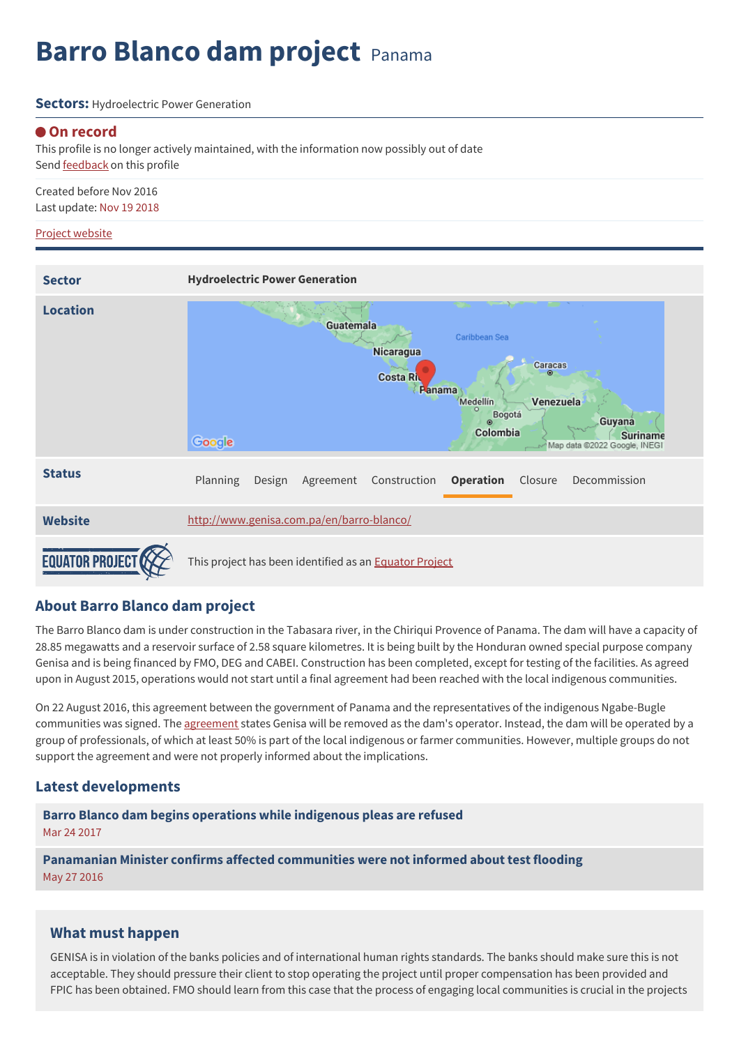# **Barro Blanco dam project** Panama

### **Sectors:** Hydroelectric Power Generation

### **On record**

This profile is no longer actively maintained, with the information now possibly out of date Send **[feedback](https://www.banktrack.org/feedback/dodgydeal/barro_blanco_dam_project)** on this profile

Created before Nov 2016 Last update: Nov 19 2018

Project [website](http://www.genisa.com.pa/en/barro-blanco/)

| <b>Sector</b>   | <b>Hydroelectric Power Generation</b>                                                                                                                                                                                  |
|-----------------|------------------------------------------------------------------------------------------------------------------------------------------------------------------------------------------------------------------------|
| <b>Location</b> | Guatemala<br>Caribbean Sea<br>Nicaragua<br>Caracas<br>$\omega$<br>Costa Riv<br>Panama<br>Venezuela<br>Medellín<br>$\circ$<br>Bogotá<br>Guyana<br>Colombia<br><b>Suriname</b><br>Google<br>Map data @2022 Google, INEGI |
| <b>Status</b>   | Planning<br>Construction<br><b>Operation</b><br>Decommission<br>Agreement<br>Closure<br>Design                                                                                                                         |
| <b>Website</b>  | http://www.genisa.com.pa/en/barro-blanco/                                                                                                                                                                              |
|                 | This project has been identified as an Equator Project                                                                                                                                                                 |

## **About Barro Blanco dam project**

The Barro Blanco dam is under construction in the Tabasara river, in the Chiriqui Provence of Panama. The dam will have a capacity of 28.85 megawatts and a reservoir surface of 2.58 square kilometres. It is being built by the Honduran owned special purpose company Genisa and is being financed by FMO, DEG and CABEI. Construction has been completed, except for testing of the facilities. As agreed upon in August 2015, operations would not start until a final agreement had been reached with the local indigenous communities.

On 22 August 2016, this agreement between the government of Panama and the representatives of the indigenous Ngabe-Bugle communities was signed. The [agreement](http://www.tvn-2.com/2016/08/22/Acuerdo_Barro_Blanco.pdf?hash=1bef7ed1399fff5f0b066b9e5f1c49b544f036fc) states Genisa will be removed as the dam's operator. Instead, the dam will be operated by a group of professionals, of which at least 50% is part of the local indigenous or farmer communities. However, multiple groups do not support the agreement and were not properly informed about the implications.

## **Latest developments**

**Barro Blanco dam begins operations while [indigenous](javascript:void(0)) pleas are refused** Mar 24 2017

**Panamanian Minister confirms affected [communities](javascript:void(0)) were not informed about test flooding** May 27 2016

## **What must happen**

GENISA is in violation of the banks policies and of international human rights standards. The banks should make sure this is not acceptable. They should pressure their client to stop operating the project until proper compensation has been provided and FPIC has been obtained. FMO should learn from this case that the process of engaging local communities is crucial in the projects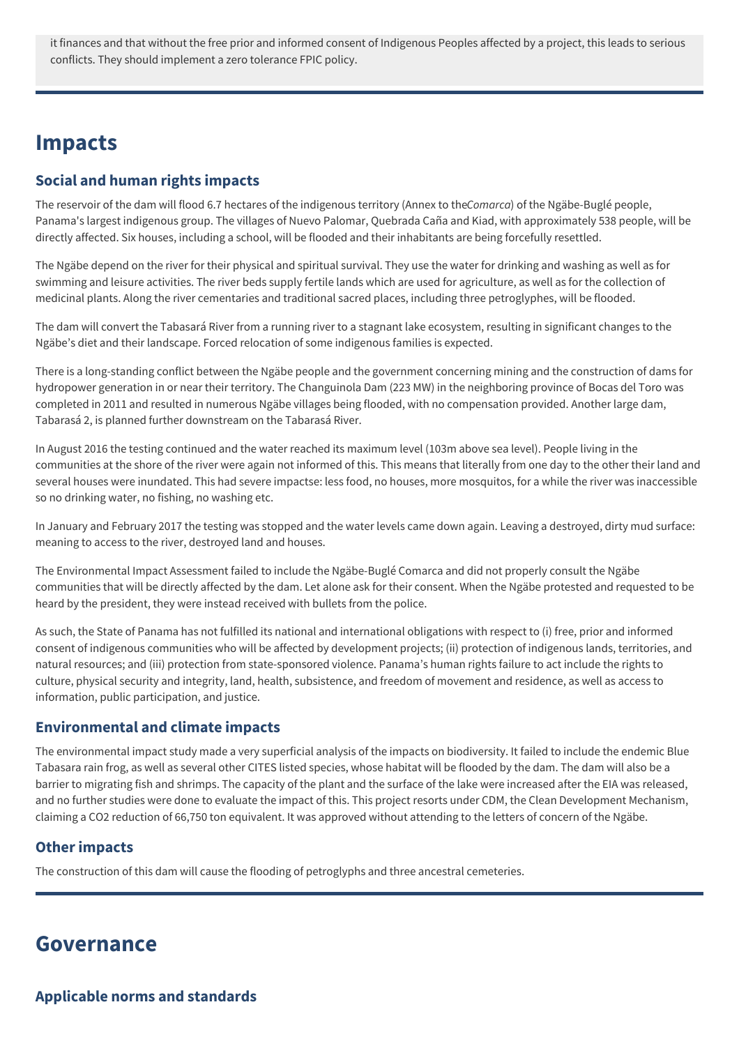it finances and that without the free prior and informed consent of Indigenous Peoples affected by a project, this leads to serious conflicts. They should implement a zero tolerance FPIC policy.

# **Impacts**

# **Social and human rights impacts**

The reservoir of the dam will flood 6.7 hectares of the indigenous territory (Annex to the*Comarca*) of the Ngäbe-Buglé people, Panama's largest indigenous group. The villages of Nuevo Palomar, Quebrada Caña and Kiad, with approximately 538 people, will be directly affected. Six houses, including a school, will be flooded and their inhabitants are being forcefully resettled.

The Ngäbe depend on the river for their physical and spiritual survival. They use the water for drinking and washing as well as for swimming and leisure activities. The river beds supply fertile lands which are used for agriculture, as well as for the collection of medicinal plants. Along the river cementaries and traditional sacred places, including three petroglyphes, will be flooded.

The dam will convert the Tabasará River from a running river to a stagnant lake ecosystem, resulting in significant changes to the Ngäbe's diet and their landscape. Forced relocation of some indigenous families is expected.

There is a long-standing conflict between the Ngäbe people and the government concerning mining and the construction of dams for hydropower generation in or near their territory. The Changuinola Dam (223 MW) in the neighboring province of Bocas del Toro was completed in 2011 and resulted in numerous Ngäbe villages being flooded, with no compensation provided. Another large dam, Tabarasá 2, is planned further downstream on the Tabarasá River.

In August 2016 the testing continued and the water reached its maximum level (103m above sea level). People living in the communities at the shore of the river were again not informed of this. This means that literally from one day to the other their land and several houses were inundated. This had severe impactse: less food, no houses, more mosquitos, for a while the river was inaccessible so no drinking water, no fishing, no washing etc.

In January and February 2017 the testing was stopped and the water levels came down again. Leaving a destroyed, dirty mud surface: meaning to access to the river, destroyed land and houses.

The Environmental Impact Assessment failed to include the Ngäbe-Buglé Comarca and did not properly consult the Ngäbe communities that will be directly affected by the dam. Let alone ask for their consent. When the Ngäbe protested and requested to be heard by the president, they were instead received with bullets from the police.

As such, the State of Panama has not fulfilled its national and international obligations with respect to (i) free, prior and informed consent of indigenous communities who will be affected by development projects; (ii) protection of indigenous lands, territories, and natural resources; and (iii) protection from state-sponsored violence. Panama's human rights failure to act include the rights to culture, physical security and integrity, land, health, subsistence, and freedom of movement and residence, as well as access to information, public participation, and justice.

## **Environmental and climate impacts**

The environmental impact study made a very superficial analysis of the impacts on biodiversity. It failed to include the endemic Blue Tabasara rain frog, as well as several other CITES listed species, whose habitat will be flooded by the dam. The dam will also be a barrier to migrating fish and shrimps. The capacity of the plant and the surface of the lake were increased after the EIA was released, and no further studies were done to evaluate the impact of this. This project resorts under CDM, the Clean Development Mechanism, claiming a CO2 reduction of 66,750 ton equivalent. It was approved without attending to the letters of concern of the Ngäbe.

## **Other impacts**

The construction of this dam will cause the flooding of petroglyphs and three ancestral cemeteries.

# **Governance**

**Applicable norms and standards**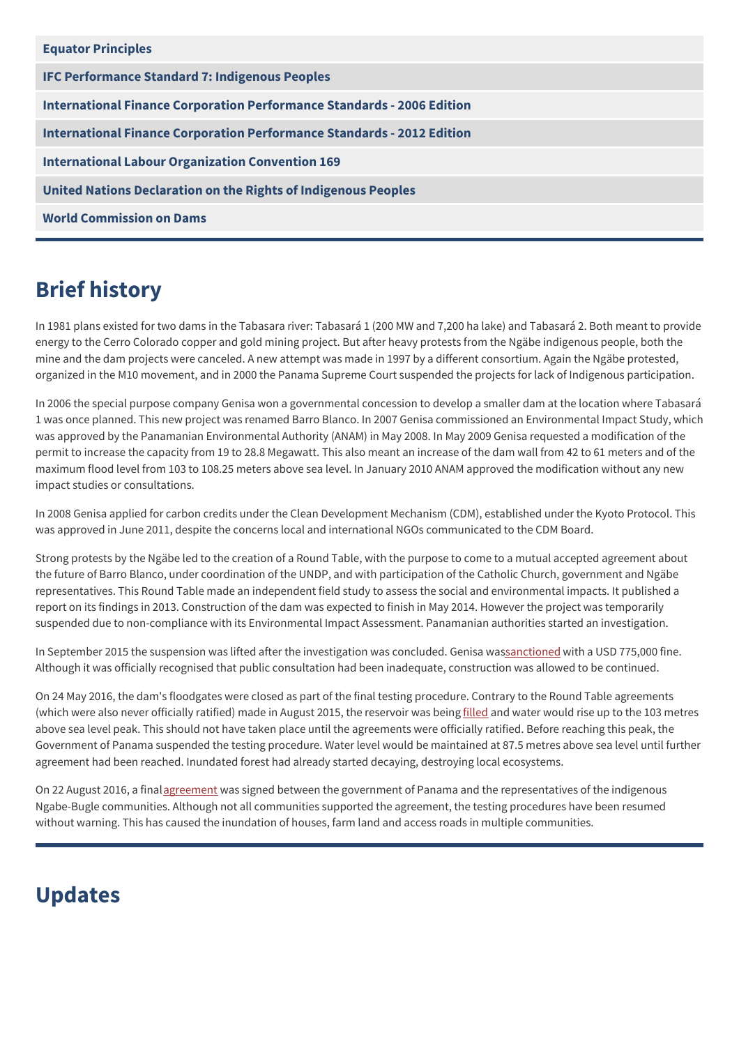| <b>Equator Principles</b>                                                     |
|-------------------------------------------------------------------------------|
| <b>IFC Performance Standard 7: Indigenous Peoples</b>                         |
| <b>International Finance Corporation Performance Standards - 2006 Edition</b> |
| <b>International Finance Corporation Performance Standards - 2012 Edition</b> |
| <b>International Labour Organization Convention 169</b>                       |
| United Nations Declaration on the Rights of Indigenous Peoples                |
| <b>World Commission on Dams</b>                                               |

# **Brief history**

In 1981 plans existed for two dams in the Tabasara river: Tabasará 1 (200 MW and 7,200 ha lake) and Tabasará 2. Both meant to provide energy to the Cerro Colorado copper and gold mining project. But after heavy protests from the Ngäbe indigenous people, both the mine and the dam projects were canceled. A new attempt was made in 1997 by a different consortium. Again the Ngäbe protested, organized in the M10 movement, and in 2000 the Panama Supreme Court suspended the projects for lack of Indigenous participation.

In 2006 the special purpose company Genisa won a governmental concession to develop a smaller dam at the location where Tabasará 1 was once planned. This new project was renamed Barro Blanco. In 2007 Genisa commissioned an Environmental Impact Study, which was approved by the Panamanian Environmental Authority (ANAM) in May 2008. In May 2009 Genisa requested a modification of the permit to increase the capacity from 19 to 28.8 Megawatt. This also meant an increase of the dam wall from 42 to 61 meters and of the maximum flood level from 103 to 108.25 meters above sea level. In January 2010 ANAM approved the modification without any new impact studies or consultations.

In 2008 Genisa applied for carbon credits under the Clean Development Mechanism (CDM), established under the Kyoto Protocol. This was approved in June 2011, despite the concerns local and international NGOs communicated to the CDM Board.

Strong protests by the Ngäbe led to the creation of a Round Table, with the purpose to come to a mutual accepted agreement about the future of Barro Blanco, under coordination of the UNDP, and with participation of the Catholic Church, government and Ngäbe representatives. This Round Table made an independent field study to assess the social and environmental impacts. It published a report on its findings in 2013. Construction of the dam was expected to finish in May 2014. However the project was temporarily suspended due to non-compliance with its Environmental Impact Assessment. Panamanian authorities started an investigation.

In September 2015 the suspension was lifted after the investigation was concluded. Genisa wa[ssanctioned](http://carbonmarketwatch.org/barro-blanco-hydro-dam-time-is-running-out-for-affected-communities/) with a USD 775,000 fine. Although it was officially recognised that public consultation had been inadequate, construction was allowed to be continued.

On 24 May 2016, the dam's floodgates were closed as part of the final testing procedure. Contrary to the Round Table agreements (which were also never officially ratified) made in August 2015, the reservoir was being [filled](http://www.panamaamerica.com.pa/economia/asep-anuncia-el-inicio-del-periodo-de-prueba-de-central-hidroelectrica-barro-blanco-1027251) and water would rise up to the 103 metres above sea level peak. This should not have taken place until the agreements were officially ratified. Before reaching this peak, the Government of Panama suspended the testing procedure. Water level would be maintained at 87.5 metres above sea level until further agreement had been reached. Inundated forest had already started decaying, destroying local ecosystems.

On 22 August 2016, a final [agreement](http://www.tvn-2.com/2016/08/22/Acuerdo_Barro_Blanco.pdf?hash=1bef7ed1399fff5f0b066b9e5f1c49b544f036fc) was signed between the government of Panama and the representatives of the indigenous Ngabe-Bugle communities. Although not all communities supported the agreement, the testing procedures have been resumed without warning. This has caused the inundation of houses, farm land and access roads in multiple communities.

# **Updates**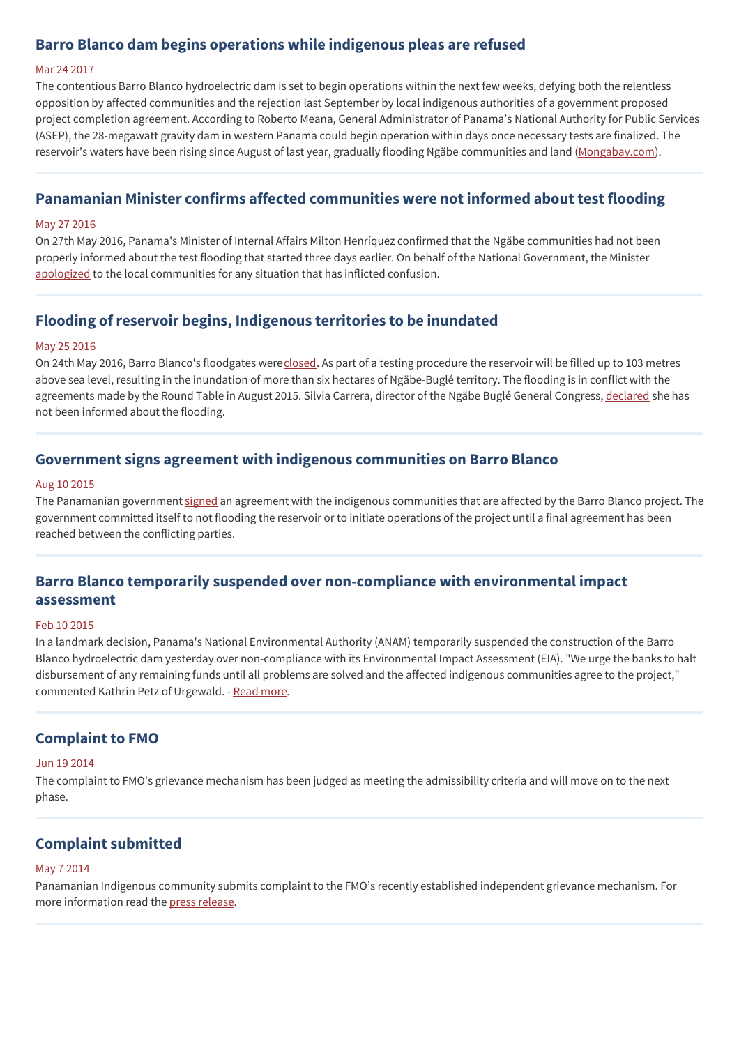# **Barro Blanco dam begins operations while indigenous pleas are refused**

#### Mar 24 2017

The contentious Barro Blanco hydroelectric dam is set to begin operations within the next few weeks, defying both the relentless opposition by affected communities and the rejection last September by local indigenous authorities of a government proposed project completion agreement. According to Roberto Meana, General Administrator of Panama's National Authority for Public Services (ASEP), the 28-megawatt gravity dam in western Panama could begin operation within days once necessary tests are finalized. The reservoir's waters have been rising since August of last year, gradually flooding Ngäbe communities and land [\(Mongabay.com](https://news.mongabay.com/2017/03/panamas-barro-blanco-dam-to-begin-operation-indigenous-pleas-refused/)).

## **Panamanian Minister confirms affected communities were not informed about test flooding**

#### May 27 2016

On 27th May 2016, Panama's Minister of Internal Affairs Milton Henríquez confirmed that the Ngäbe communities had not been properly informed about the test flooding that started three days earlier. On behalf of the National Government, the Minister [apologized](http://www.mingob.gob.pa/mingob/inside.php?artID=3246) to the local communities for any situation that has inflicted confusion.

## **Flooding of reservoir begins, Indigenous territories to be inundated**

#### May 25 2016

On 24th May 2016, Barro Blanco's floodgates were[closed](https://intercontinentalcry.org/barro-blanco-flooding-begins-un-approved-hydro-dam-indigenous-defenders-forcefully-removed/). As part of a testing procedure the reservoir will be filled up to 103 metres above sea level, resulting in the inundation of more than six hectares of Ngäbe-Buglé territory. The flooding is in conflict with the agreements made by the Round Table in August 2015. Silvia Carrera, director of the Ngäbe Buglé General Congress, [declared](http://www.telemetro.com/nacionales/entrevistas/Cacica-Carrera-Asep-Barro-Blanco_3_921837813.html) she has not been informed about the flooding.

### **Government signs agreement with indigenous communities on Barro Blanco**

#### Aug 10 2015

The Panamanian government [signed](http://www.prensa.com/politica/Gobierno-indigenas-Barro-Blanco-hidroelectrica_0_4274572679.html) an agreement with the indigenous communities that are affected by the Barro Blanco project. The government committed itself to not flooding the reservoir or to initiate operations of the project until a final agreement has been reached between the conflicting parties.

# **Barro Blanco temporarily suspended over non-compliance with environmental impact assessment**

#### Feb 10 2015

In a landmark decision, Panama's National Environmental Authority (ANAM) temporarily suspended the construction of the Barro Blanco hydroelectric dam yesterday over non-compliance with its Environmental Impact Assessment (EIA). "We urge the banks to halt disbursement of any remaining funds until all problems are solved and the affected indigenous communities agree to the project," commented Kathrin Petz of Urgewald. - [Read](https://intercontinentalcry.org/un-registered-barro-blanco-hydroelectric-dam-temporarily-suspended-non-compliance-environmental-impact-assessment/) more.

## **Complaint to FMO**

#### Jun 19 2014

The complaint to FMO's grievance mechanism has been judged as meeting the admissibility criteria and will move on to the next phase.

## **Complaint submitted**

### May 7 2014

Panamanian Indigenous community submits complaint to the FMO's recently established independent grievance mechanism. For more information read the press [release](http://grievancemechanisms.org/news/complaint-filed-against-dutch-development-bank-fmo-for-funding-the-barro-blanco-dam-in-panama).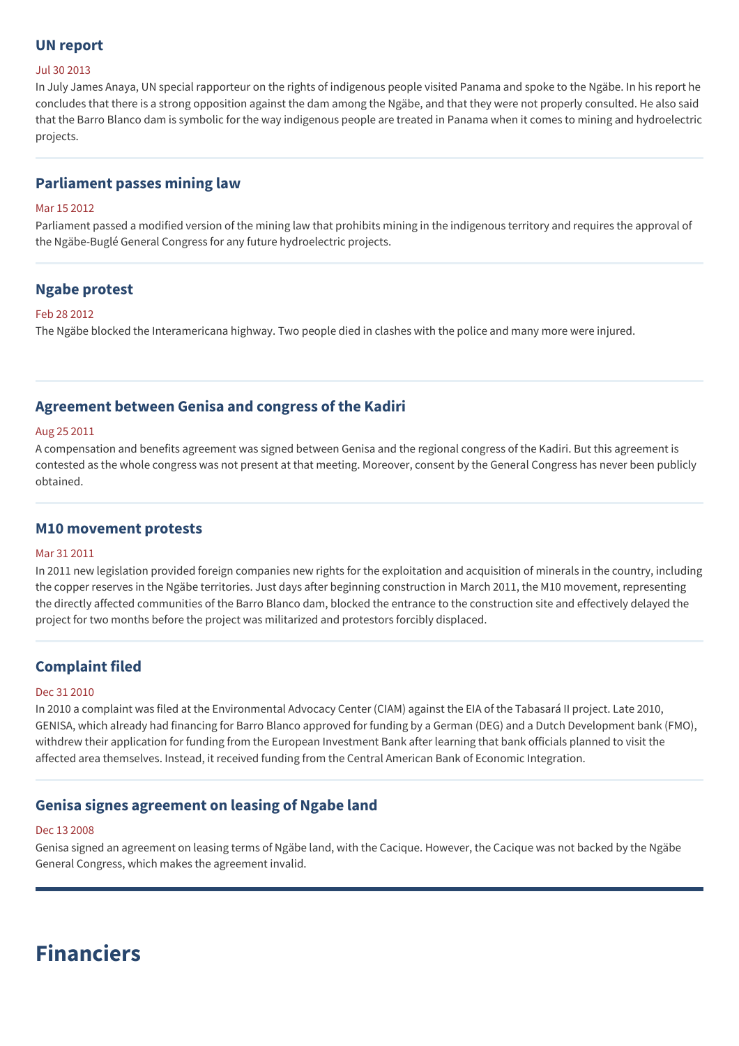## **UN report**

#### Jul 30 2013

In July James Anaya, UN special rapporteur on the rights of indigenous people visited Panama and spoke to the Ngäbe. In his report he concludes that there is a strong opposition against the dam among the Ngäbe, and that they were not properly consulted. He also said that the Barro Blanco dam is symbolic for the way indigenous people are treated in Panama when it comes to mining and hydroelectric projects.

## **Parliament passes mining law**

### Mar 15 2012

Parliament passed a modified version of the mining law that prohibits mining in the indigenous territory and requires the approval of the Ngäbe-Buglé General Congress for any future hydroelectric projects.

## **Ngabe protest**

### Feb 28 2012

The Ngäbe blocked the Interamericana highway. Two people died in clashes with the police and many more were injured.

## **Agreement between Genisa and congress of the Kadiri**

### Aug 25 2011

A compensation and benefits agreement was signed between Genisa and the regional congress of the Kadiri. But this agreement is contested as the whole congress was not present at that meeting. Moreover, consent by the General Congress has never been publicly obtained.

### **M10 movement protests**

#### Mar 31 2011

In 2011 new legislation provided foreign companies new rights for the exploitation and acquisition of minerals in the country, including the copper reserves in the Ngäbe territories. Just days after beginning construction in March 2011, the M10 movement, representing the directly affected communities of the Barro Blanco dam, blocked the entrance to the construction site and effectively delayed the project for two months before the project was militarized and protestors forcibly displaced.

## **Complaint filed**

### Dec 31 2010

In 2010 a complaint was filed at the Environmental Advocacy Center (CIAM) against the EIA of the Tabasará II project. Late 2010, GENISA, which already had financing for Barro Blanco approved for funding by a German (DEG) and a Dutch Development bank (FMO), withdrew their application for funding from the European Investment Bank after learning that bank officials planned to visit the affected area themselves. Instead, it received funding from the Central American Bank of Economic Integration.

## **Genisa signes agreement on leasing of Ngabe land**

### Dec 13 2008

Genisa signed an agreement on leasing terms of Ngäbe land, with the Cacique. However, the Cacique was not backed by the Ngäbe General Congress, which makes the agreement invalid.

# **Financiers**